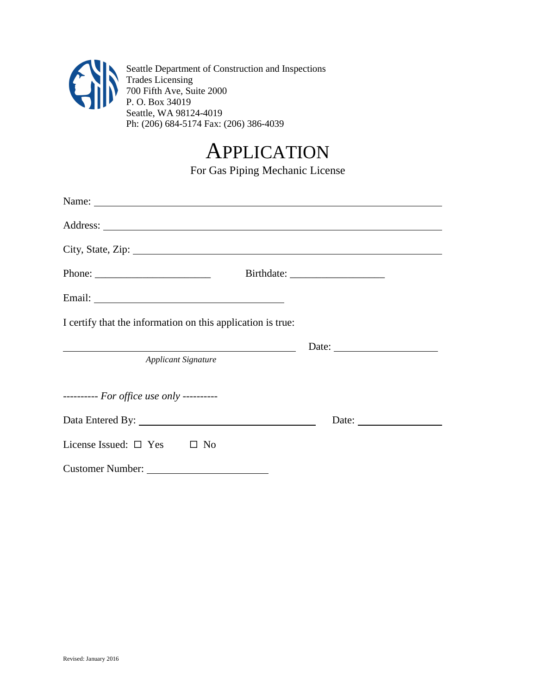

Seattle Department of Construction and Inspections Trades Licensing 700 Fifth Ave, Suite 2000 P. O. Box 34019 Seattle, WA 98124-4019 Ph: (206) 684-5174 Fax: (206) 386-4039

## APPLICATION

For Gas Piping Mechanic License

| City, State, Zip:                                                                                                                                                                                                              |                                                                                                                                                                                                                                                                                                                                                                                                               |  |  |  |  |
|--------------------------------------------------------------------------------------------------------------------------------------------------------------------------------------------------------------------------------|---------------------------------------------------------------------------------------------------------------------------------------------------------------------------------------------------------------------------------------------------------------------------------------------------------------------------------------------------------------------------------------------------------------|--|--|--|--|
| Phone: $\frac{1}{\sqrt{1-\frac{1}{2}} \cdot \frac{1}{2}}$                                                                                                                                                                      |                                                                                                                                                                                                                                                                                                                                                                                                               |  |  |  |  |
| Email: No. 1996. The Commission of the Commission of the Commission of the Commission of the Commission of the Commission of the Commission of the Commission of the Commission of the Commission of the Commission of the Com |                                                                                                                                                                                                                                                                                                                                                                                                               |  |  |  |  |
| I certify that the information on this application is true:                                                                                                                                                                    |                                                                                                                                                                                                                                                                                                                                                                                                               |  |  |  |  |
|                                                                                                                                                                                                                                | Date: $\frac{1}{\sqrt{1-\frac{1}{2}}\sqrt{1-\frac{1}{2}}\sqrt{1-\frac{1}{2}}\sqrt{1-\frac{1}{2}}\sqrt{1-\frac{1}{2}}\sqrt{1-\frac{1}{2}}\sqrt{1-\frac{1}{2}}\sqrt{1-\frac{1}{2}}\sqrt{1-\frac{1}{2}}\sqrt{1-\frac{1}{2}}\sqrt{1-\frac{1}{2}}\sqrt{1-\frac{1}{2}}\sqrt{1-\frac{1}{2}}\sqrt{1-\frac{1}{2}}\sqrt{1-\frac{1}{2}}\sqrt{1-\frac{1}{2}}\sqrt{1-\frac{1}{2}}\sqrt{1-\frac{1}{2}}\sqrt{1-\frac{1}{2}}$ |  |  |  |  |
| <b>Applicant Signature</b>                                                                                                                                                                                                     |                                                                                                                                                                                                                                                                                                                                                                                                               |  |  |  |  |
| --------- For office use only ----------                                                                                                                                                                                       |                                                                                                                                                                                                                                                                                                                                                                                                               |  |  |  |  |
|                                                                                                                                                                                                                                |                                                                                                                                                                                                                                                                                                                                                                                                               |  |  |  |  |
| License Issued: $\square$ Yes $\square$ No                                                                                                                                                                                     |                                                                                                                                                                                                                                                                                                                                                                                                               |  |  |  |  |
| Customer Number:                                                                                                                                                                                                               |                                                                                                                                                                                                                                                                                                                                                                                                               |  |  |  |  |